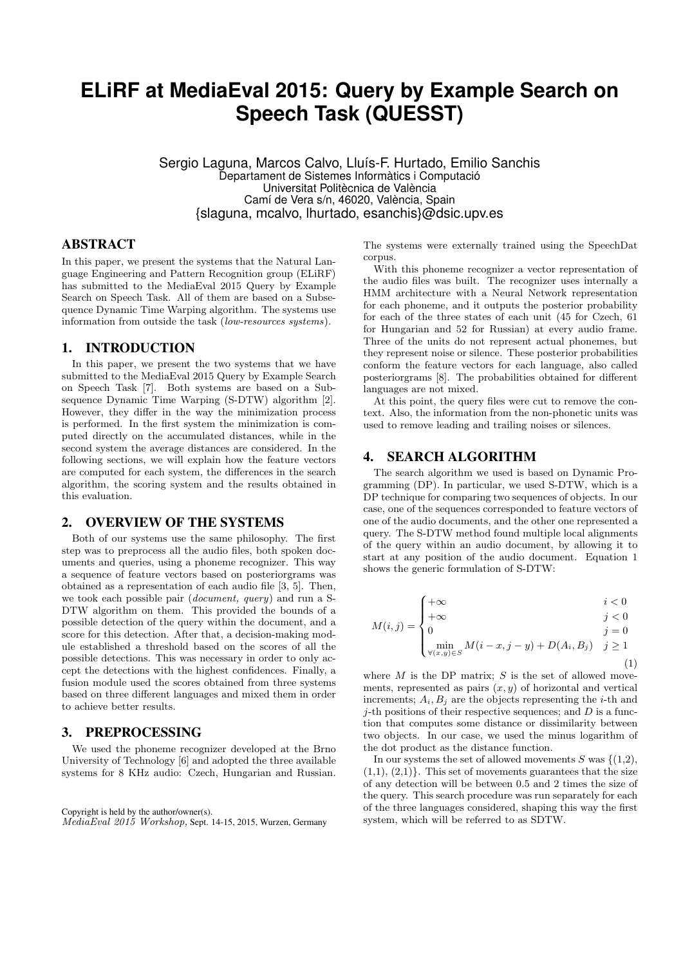# **ELiRF at MediaEval 2015: Query by Example Search on Speech Task (QUESST)**

Sergio Laguna, Marcos Calvo, Lluís-F. Hurtado, Emilio Sanchis Departament de Sistemes Informàtics i Computació Universitat Politècnica de València Camí de Vera s/n, 46020, València, Spain {slaguna, mcalvo, lhurtado, esanchis}@dsic.upv.es

## ABSTRACT

In this paper, we present the systems that the Natural Language Engineering and Pattern Recognition group (ELiRF) has submitted to the MediaEval 2015 Query by Example Search on Speech Task. All of them are based on a Subsequence Dynamic Time Warping algorithm. The systems use information from outside the task (low-resources systems).

#### 1. INTRODUCTION

In this paper, we present the two systems that we have submitted to the MediaEval 2015 Query by Example Search on Speech Task [7]. Both systems are based on a Subsequence Dynamic Time Warping (S-DTW) algorithm [2]. However, they differ in the way the minimization process is performed. In the first system the minimization is computed directly on the accumulated distances, while in the second system the average distances are considered. In the following sections, we will explain how the feature vectors are computed for each system, the differences in the search algorithm, the scoring system and the results obtained in this evaluation.

### 2. OVERVIEW OF THE SYSTEMS

Both of our systems use the same philosophy. The first step was to preprocess all the audio files, both spoken documents and queries, using a phoneme recognizer. This way a sequence of feature vectors based on posteriorgrams was obtained as a representation of each audio file [3, 5]. Then, we took each possible pair (document, query) and run a S-DTW algorithm on them. This provided the bounds of a possible detection of the query within the document, and a score for this detection. After that, a decision-making module established a threshold based on the scores of all the possible detections. This was necessary in order to only accept the detections with the highest confidences. Finally, a fusion module used the scores obtained from three systems based on three different languages and mixed them in order to achieve better results.

### 3. PREPROCESSING

We used the phoneme recognizer developed at the Brno University of Technology [6] and adopted the three available systems for 8 KHz audio: Czech, Hungarian and Russian.

Copyright is held by the author/owner(s). MediaEval 2015 Workshop, Sept. 14-15, 2015, Wurzen, Germany The systems were externally trained using the SpeechDat corpus.

With this phoneme recognizer a vector representation of the audio files was built. The recognizer uses internally a HMM architecture with a Neural Network representation for each phoneme, and it outputs the posterior probability for each of the three states of each unit (45 for Czech, 61 for Hungarian and 52 for Russian) at every audio frame. Three of the units do not represent actual phonemes, but they represent noise or silence. These posterior probabilities conform the feature vectors for each language, also called posteriorgrams [8]. The probabilities obtained for different languages are not mixed.

At this point, the query files were cut to remove the context. Also, the information from the non-phonetic units was used to remove leading and trailing noises or silences.

#### 4. SEARCH ALGORITHM

The search algorithm we used is based on Dynamic Programming (DP). In particular, we used S-DTW, which is a DP technique for comparing two sequences of objects. In our case, one of the sequences corresponded to feature vectors of one of the audio documents, and the other one represented a query. The S-DTW method found multiple local alignments of the query within an audio document, by allowing it to start at any position of the audio document. Equation 1 shows the generic formulation of S-DTW:

$$
\begin{cases}\n+\infty & i < 0 \\
+\infty & j < 0\n\end{cases}
$$

$$
M(i,j) = \begin{cases} 0 & j = 0\\ \min_{\forall (x,y) \in S} M(i-x, j-y) + D(A_i, B_j) & j \ge 1 \end{cases}
$$

$$
M(i-x, j-y) + D(A_i, B_j) \quad j \ge 1
$$
\n<sup>(1)</sup>

where  $M$  is the DP matrix;  $S$  is the set of allowed movements, represented as pairs  $(x, y)$  of horizontal and vertical increments;  $A_i, B_j$  are the objects representing the *i*-th and *j*-th positions of their respective sequences; and  $D$  is a function that computes some distance or dissimilarity between two objects. In our case, we used the minus logarithm of the dot product as the distance function.

In our systems the set of allowed movements  $S$  was  $\{(1,2),\}$  $(1,1), (2,1)$ . This set of movements guarantees that the size of any detection will be between 0.5 and 2 times the size of the query. This search procedure was run separately for each of the three languages considered, shaping this way the first system, which will be referred to as SDTW.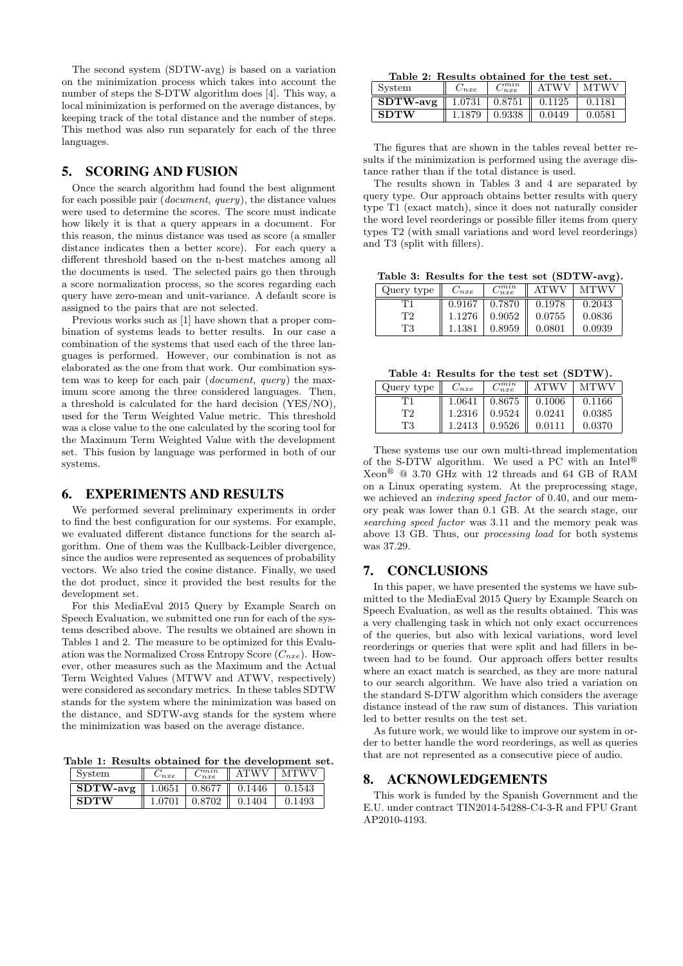The second system (SDTW-avg) is based on a variation on the minimization process which takes into account the number of steps the S-DTW algorithm does [4]. This way, a local minimization is performed on the average distances, by keeping track of the total distance and the number of steps. This method was also run separately for each of the three languages.

## 5. SCORING AND FUSION

Once the search algorithm had found the best alignment for each possible pair  $(document, query)$ , the distance values were used to determine the scores. The score must indicate how likely it is that a query appears in a document. For this reason, the minus distance was used as score (a smaller distance indicates then a better score). For each query a different threshold based on the n-best matches among all the documents is used. The selected pairs go then through a score normalization process, so the scores regarding each query have zero-mean and unit-variance. A default score is assigned to the pairs that are not selected.

Previous works such as [1] have shown that a proper combination of systems leads to better results. In our case a combination of the systems that used each of the three languages is performed. However, our combination is not as elaborated as the one from that work. Our combination system was to keep for each pair (document, query) the maximum score among the three considered languages. Then, a threshold is calculated for the hard decision (YES/NO), used for the Term Weighted Value metric. This threshold was a close value to the one calculated by the scoring tool for the Maximum Term Weighted Value with the development set. This fusion by language was performed in both of our systems.

#### 6. EXPERIMENTS AND RESULTS

We performed several preliminary experiments in order to find the best configuration for our systems. For example, we evaluated different distance functions for the search algorithm. One of them was the Kullback-Leibler divergence, since the audios were represented as sequences of probability vectors. We also tried the cosine distance. Finally, we used the dot product, since it provided the best results for the development set.

For this MediaEval 2015 Query by Example Search on Speech Evaluation, we submitted one run for each of the systems described above. The results we obtained are shown in Tables 1 and 2. The measure to be optimized for this Evaluation was the Normalized Cross Entropy Score  $(C_{nxe})$ . However, other measures such as the Maximum and the Actual Term Weighted Values (MTWV and ATWV, respectively) were considered as secondary metrics. In these tables SDTW stands for the system where the minimization was based on the distance, and SDTW-avg stands for the system where the minimization was based on the average distance.

Table 1: Results obtained for the development set.

| System      | $\cup$ nxe | $\sim$ m $\imath$ n<br>$\smash{\smash{\cup_{n\mathcal{X}}}}$ | <b>ATWV</b> | MTWV   |
|-------------|------------|--------------------------------------------------------------|-------------|--------|
| $SDTW$ -avg | 1.0651     | 0.8677                                                       | 0.1446      | 0.1543 |
| <b>SDTW</b> | -0701      | 0.8702                                                       | 0.1404      | 0.1493 |

| Table 2: Results obtained for the test set. |  |  |  |
|---------------------------------------------|--|--|--|
|                                             |  |  |  |

| System                                       | $v_{nxe}$ | $\cap m \wr n$<br>$\smash{\smash{\cup_{n\mathcal{X}e}}\hspace{-0.03cm}}$ | <b>ATWV</b> | MTWV   |
|----------------------------------------------|-----------|--------------------------------------------------------------------------|-------------|--------|
| <b>SDTW-avg</b>    1.0731   0.8751    0.1125 |           |                                                                          |             | 0.1181 |
| <b>SDTW</b>                                  | 1.1879    | 0.9338                                                                   | 0.0449      | 0.0581 |

The figures that are shown in the tables reveal better results if the minimization is performed using the average distance rather than if the total distance is used.

The results shown in Tables 3 and 4 are separated by query type. Our approach obtains better results with query type T1 (exact match), since it does not naturally consider the word level reorderings or possible filler items from query types T2 (with small variations and word level reorderings) and T3 (split with fillers).

Table 3: Results for the test set (SDTW-avg).

| Query type | $C_{nxe}$ | $\gamma m \imath n$<br>$_{nxe}$ | ATWV   | MTWV   |
|------------|-----------|---------------------------------|--------|--------|
| T 1        | 0.9167    | 0.7870                          | 0.1978 | 0.2043 |
| TЭ         | 1.1276    | 0.9052                          | 0.0755 | 0.0836 |
| T3         | 1.1381    | 0.8959                          | 0.0801 | 0.0939 |

Table 4: Results for the test set (SDTW).

| Query type | $\cup_{nxe}$ | $\gamma m \imath n$<br>$_{nxe}$ | ATWV   | MTWV   |
|------------|--------------|---------------------------------|--------|--------|
| T 1        | 1.0641       | 0.8675                          | 0.1006 | 0.1166 |
| Т2         | 1.2316       | 0.9524                          | 0.0241 | 0.0385 |
| T3         | 1.2413       | 0.9526                          | 0.0111 | 0.0370 |

These systems use our own multi-thread implementation of the S-DTW algorithm. We used a PC with an Intel<sup>®</sup>  $Xeon^@$  @ 3.70 GHz with 12 threads and 64 GB of RAM on a Linux operating system. At the preprocessing stage, we achieved an indexing speed factor of 0.40, and our memory peak was lower than 0.1 GB. At the search stage, our searching speed factor was 3.11 and the memory peak was above 13 GB. Thus, our processing load for both systems was 37.29.

## 7. CONCLUSIONS

In this paper, we have presented the systems we have submitted to the MediaEval 2015 Query by Example Search on Speech Evaluation, as well as the results obtained. This was a very challenging task in which not only exact occurrences of the queries, but also with lexical variations, word level reorderings or queries that were split and had fillers in between had to be found. Our approach offers better results where an exact match is searched, as they are more natural to our search algorithm. We have also tried a variation on the standard S-DTW algorithm which considers the average distance instead of the raw sum of distances. This variation led to better results on the test set.

As future work, we would like to improve our system in order to better handle the word reorderings, as well as queries that are not represented as a consecutive piece of audio.

#### 8. ACKNOWLEDGEMENTS

This work is funded by the Spanish Government and the E.U. under contract TIN2014-54288-C4-3-R and FPU Grant AP2010-4193.